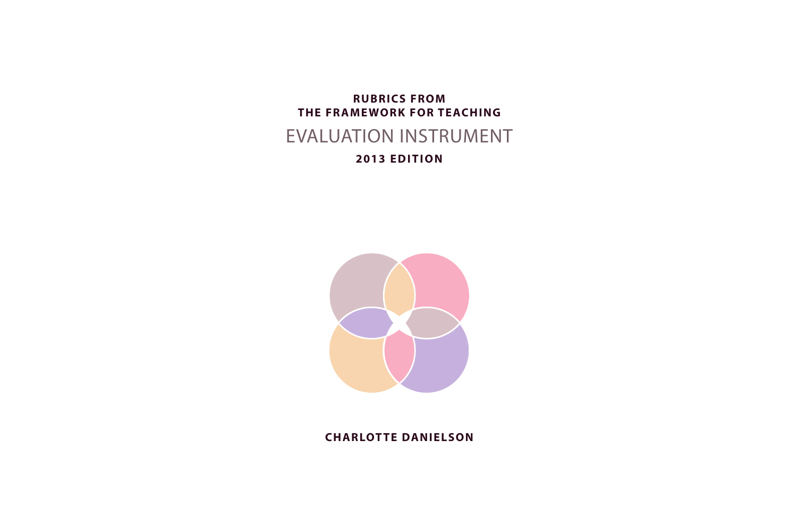# **RUBRICS FROM THE FRAMEWORK FOR TEACHING** EVALUATION INSTRUMENT **2013 EDITION**



### **CHARLOTTE DANIELSON**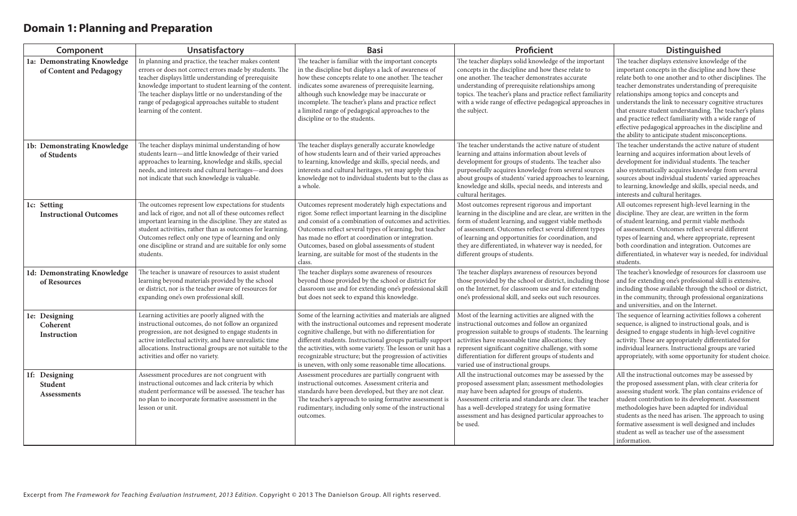# **Domain 1: Planning and Preparation**

| Component                                              | Unsatisfactory                                                                                                                                                                                                                                                                                                                                                                 | <b>Basi</b>                                                                                                                                                                                                                                                                                                                                                                                                                       | <b>Proficient</b>                                                                                                                                                                                                                                                                                                                                                                    | <b>Distinguished</b>                                                                                                                                                                                                                                                                                                                                                                                                                                                                                                                                               |
|--------------------------------------------------------|--------------------------------------------------------------------------------------------------------------------------------------------------------------------------------------------------------------------------------------------------------------------------------------------------------------------------------------------------------------------------------|-----------------------------------------------------------------------------------------------------------------------------------------------------------------------------------------------------------------------------------------------------------------------------------------------------------------------------------------------------------------------------------------------------------------------------------|--------------------------------------------------------------------------------------------------------------------------------------------------------------------------------------------------------------------------------------------------------------------------------------------------------------------------------------------------------------------------------------|--------------------------------------------------------------------------------------------------------------------------------------------------------------------------------------------------------------------------------------------------------------------------------------------------------------------------------------------------------------------------------------------------------------------------------------------------------------------------------------------------------------------------------------------------------------------|
| 1a: Demonstrating Knowledge<br>of Content and Pedagogy | In planning and practice, the teacher makes content<br>errors or does not correct errors made by students. The<br>teacher displays little understanding of prerequisite<br>knowledge important to student learning of the content<br>The teacher displays little or no understanding of the<br>range of pedagogical approaches suitable to student<br>learning of the content. | The teacher is familiar with the important concepts<br>in the discipline but displays a lack of awareness of<br>how these concepts relate to one another. The teacher<br>indicates some awareness of prerequisite learning,<br>although such knowledge may be inaccurate or<br>incomplete. The teacher's plans and practice reflect<br>a limited range of pedagogical approaches to the<br>discipline or to the students.         | The teacher displays solid knowledge of the important<br>concepts in the discipline and how these relate to<br>one another. The teacher demonstrates accurate<br>understanding of prerequisite relationships among<br>topics. The teacher's plans and practice reflect familiarity<br>with a wide range of effective pedagogical approaches in<br>the subject.                       | The teacher displays extensive knowledge of the<br>important concepts in the discipline and how these<br>relate both to one another and to other disciplines. The<br>teacher demonstrates understanding of prerequisite<br>relationships among topics and concepts and<br>understands the link to necessary cognitive structures<br>that ensure student understanding. The teacher's plans<br>and practice reflect familiarity with a wide range of<br>effective pedagogical approaches in the discipline and<br>the ability to anticipate student misconceptions. |
| 1b: Demonstrating Knowledge<br>of Students             | The teacher displays minimal understanding of how<br>students learn-and little knowledge of their varied<br>approaches to learning, knowledge and skills, special<br>needs, and interests and cultural heritages-and does<br>not indicate that such knowledge is valuable.                                                                                                     | The teacher displays generally accurate knowledge<br>of how students learn and of their varied approaches<br>to learning, knowledge and skills, special needs, and<br>interests and cultural heritages, yet may apply this<br>knowledge not to individual students but to the class as<br>a whole.                                                                                                                                | The teacher understands the active nature of student<br>learning and attains information about levels of<br>development for groups of students. The teacher also<br>purposefully acquires knowledge from several sources<br>about groups of students' varied approaches to learning,<br>knowledge and skills, special needs, and interests and<br>cultural heritages.                | The teacher understands the active nature of student<br>learning and acquires information about levels of<br>development for individual students. The teacher<br>also systematically acquires knowledge from several<br>sources about individual students' varied approaches<br>to learning, knowledge and skills, special needs, and<br>interests and cultural heritages.                                                                                                                                                                                         |
| 1c: Setting<br><b>Instructional Outcomes</b>           | The outcomes represent low expectations for students<br>and lack of rigor, and not all of these outcomes reflect<br>important learning in the discipline. They are stated as<br>student activities, rather than as outcomes for learning.<br>Outcomes reflect only one type of learning and only<br>one discipline or strand and are suitable for only some<br>students.       | Outcomes represent moderately high expectations and<br>rigor. Some reflect important learning in the discipline<br>and consist of a combination of outcomes and activities.<br>Outcomes reflect several types of learning, but teacher<br>has made no effort at coordination or integration.<br>Outcomes, based on global assessments of student<br>learning, are suitable for most of the students in the<br>class.              | Most outcomes represent rigorous and important<br>learning in the discipline and are clear, are written in the<br>form of student learning, and suggest viable methods<br>of assessment. Outcomes reflect several different types<br>of learning and opportunities for coordination, and<br>they are differentiated, in whatever way is needed, for<br>different groups of students. | All outcomes represent high-level learning in the<br>discipline. They are clear, are written in the form<br>of student learning, and permit viable methods<br>of assessment. Outcomes reflect several different<br>types of learning and, where appropriate, represent<br>both coordination and integration. Outcomes are<br>differentiated, in whatever way is needed, for individual<br>students.                                                                                                                                                                |
| 1d: Demonstrating Knowledge<br>of Resources            | The teacher is unaware of resources to assist student<br>learning beyond materials provided by the school<br>or district, nor is the teacher aware of resources for<br>expanding one's own professional skill.                                                                                                                                                                 | The teacher displays some awareness of resources<br>beyond those provided by the school or district for<br>classroom use and for extending one's professional skill<br>but does not seek to expand this knowledge.                                                                                                                                                                                                                | The teacher displays awareness of resources beyond<br>those provided by the school or district, including those<br>on the Internet, for classroom use and for extending<br>one's professional skill, and seeks out such resources.                                                                                                                                                   | The teacher's knowledge of resources for classroom use<br>and for extending one's professional skill is extensive,<br>including those available through the school or district,<br>in the community, through professional organizations<br>and universities, and on the Internet.                                                                                                                                                                                                                                                                                  |
| 1e: Designing<br>Coherent<br>Instruction               | Learning activities are poorly aligned with the<br>instructional outcomes, do not follow an organized<br>progression, are not designed to engage students in<br>active intellectual activity, and have unrealistic time<br>allocations. Instructional groups are not suitable to the<br>activities and offer no variety.                                                       | Some of the learning activities and materials are aligned<br>with the instructional outcomes and represent moderate  <br>cognitive challenge, but with no differentiation for<br>different students. Instructional groups partially support<br>the activities, with some variety. The lesson or unit has a<br>recognizable structure; but the progression of activities<br>is uneven, with only some reasonable time allocations. | Most of the learning activities are aligned with the<br>instructional outcomes and follow an organized<br>progression suitable to groups of students. The learning<br>activities have reasonable time allocations; they<br>represent significant cognitive challenge, with some<br>differentiation for different groups of students and<br>varied use of instructional groups.       | The sequence of learning activities follows a coherent<br>sequence, is aligned to instructional goals, and is<br>designed to engage students in high-level cognitive<br>activity. These are appropriately differentiated for<br>individual learners. Instructional groups are varied<br>appropriately, with some opportunity for student choice.                                                                                                                                                                                                                   |
| 1f: Designing<br><b>Student</b><br><b>Assessments</b>  | Assessment procedures are not congruent with<br>instructional outcomes and lack criteria by which<br>student performance will be assessed. The teacher has<br>no plan to incorporate formative assessment in the<br>lesson or unit.                                                                                                                                            | Assessment procedures are partially congruent with<br>instructional outcomes. Assessment criteria and<br>standards have been developed, but they are not clear.<br>The teacher's approach to using formative assessment is<br>rudimentary, including only some of the instructional<br>outcomes.                                                                                                                                  | All the instructional outcomes may be assessed by the<br>proposed assessment plan; assessment methodologies<br>may have been adapted for groups of students.<br>Assessment criteria and standards are clear. The teacher<br>has a well-developed strategy for using formative<br>assessment and has designed particular approaches to<br>be used.                                    | All the instructional outcomes may be assessed by<br>the proposed assessment plan, with clear criteria for<br>assessing student work. The plan contains evidence of<br>student contribution to its development. Assessment<br>methodologies have been adapted for individual<br>students as the need has arisen. The approach to using<br>formative assessment is well designed and includes<br>student as well as teacher use of the assessment<br>information.                                                                                                   |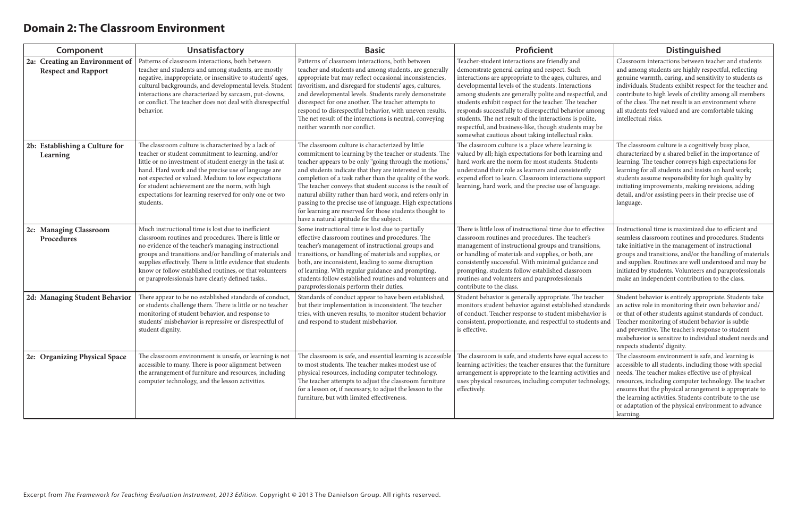#### **Domain 2: The Classroom Environment**

| Component                                                    | <b>Unsatisfactory</b>                                                                                                                                                                                                                                                                                                                                                                                       | <b>Basic</b>                                                                                                                                                                                                                                                                                                                                                                                                                                                                                                                                                                              | <b>Proficient</b>                                                                                                                                                                                                                                                                                                                                                                                                                                                                                                                                                     | <b>Distinguished</b>                                                                                                                                                                                                                                                                                                                                                                                                                |
|--------------------------------------------------------------|-------------------------------------------------------------------------------------------------------------------------------------------------------------------------------------------------------------------------------------------------------------------------------------------------------------------------------------------------------------------------------------------------------------|-------------------------------------------------------------------------------------------------------------------------------------------------------------------------------------------------------------------------------------------------------------------------------------------------------------------------------------------------------------------------------------------------------------------------------------------------------------------------------------------------------------------------------------------------------------------------------------------|-----------------------------------------------------------------------------------------------------------------------------------------------------------------------------------------------------------------------------------------------------------------------------------------------------------------------------------------------------------------------------------------------------------------------------------------------------------------------------------------------------------------------------------------------------------------------|-------------------------------------------------------------------------------------------------------------------------------------------------------------------------------------------------------------------------------------------------------------------------------------------------------------------------------------------------------------------------------------------------------------------------------------|
| 2a: Creating an Environment of<br><b>Respect and Rapport</b> | Patterns of classroom interactions, both between<br>teacher and students and among students, are mostly<br>negative, inappropriate, or insensitive to students' ages,<br>cultural backgrounds, and developmental levels. Student<br>interactions are characterized by sarcasm, put-downs,<br>or conflict. The teacher does not deal with disrespectful<br>behavior.                                         | Patterns of classroom interactions, both between<br>teacher and students and among students, are generally<br>appropriate but may reflect occasional inconsistencies,<br>favoritism, and disregard for students' ages, cultures,<br>and developmental levels. Students rarely demonstrate<br>disrespect for one another. The teacher attempts to<br>respond to disrespectful behavior, with uneven results.<br>The net result of the interactions is neutral, conveying<br>neither warmth nor conflict.                                                                                   | Teacher-student interactions are friendly and<br>demonstrate general caring and respect. Such<br>interactions are appropriate to the ages, cultures, and<br>developmental levels of the students. Interactions<br>among students are generally polite and respectful, and<br>students exhibit respect for the teacher. The teacher<br>responds successfully to disrespectful behavior among<br>students. The net result of the interactions is polite,<br>respectful, and business-like, though students may be<br>somewhat cautious about taking intellectual risks. | Classroom interactions between teacher and students<br>and among students are highly respectful, reflecting<br>genuine warmth, caring, and sensitivity to students as<br>individuals. Students exhibit respect for the teacher and<br>contribute to high levels of civility among all members<br>of the class. The net result is an environment where<br>all students feel valued and are comfortable taking<br>intellectual risks. |
| 2b: Establishing a Culture for<br>Learning                   | The classroom culture is characterized by a lack of<br>teacher or student commitment to learning, and/or<br>little or no investment of student energy in the task at<br>hand. Hard work and the precise use of language are<br>not expected or valued. Medium to low expectations<br>for student achievement are the norm, with high<br>expectations for learning reserved for only one or two<br>students. | The classroom culture is characterized by little<br>commitment to learning by the teacher or students. The<br>teacher appears to be only "going through the motions,"<br>and students indicate that they are interested in the<br>completion of a task rather than the quality of the work.<br>The teacher conveys that student success is the result of<br>natural ability rather than hard work, and refers only in<br>passing to the precise use of language. High expectations<br>for learning are reserved for those students thought to<br>have a natural aptitude for the subject. | The classroom culture is a place where learning is<br>valued by all; high expectations for both learning and<br>hard work are the norm for most students. Students<br>understand their role as learners and consistently<br>expend effort to learn. Classroom interactions support<br>learning, hard work, and the precise use of language.                                                                                                                                                                                                                           | The classroom culture is a cognitively busy place,<br>characterized by a shared belief in the importance of<br>learning. The teacher conveys high expectations for<br>learning for all students and insists on hard work;<br>students assume responsibility for high quality by<br>initiating improvements, making revisions, adding<br>detail, and/or assisting peers in their precise use of<br>language.                         |
| 2c: Managing Classroom<br>Procedures                         | Much instructional time is lost due to inefficient<br>classroom routines and procedures. There is little or<br>no evidence of the teacher's managing instructional<br>groups and transitions and/or handling of materials and<br>supplies effectively. There is little evidence that students<br>know or follow established routines, or that volunteers<br>or paraprofessionals have clearly defined tasks | Some instructional time is lost due to partially<br>effective classroom routines and procedures. The<br>teacher's management of instructional groups and<br>transitions, or handling of materials and supplies, or<br>both, are inconsistent, leading to some disruption<br>of learning. With regular guidance and prompting,<br>students follow established routines and volunteers and<br>paraprofessionals perform their duties.                                                                                                                                                       | There is little loss of instructional time due to effective<br>classroom routines and procedures. The teacher's<br>management of instructional groups and transitions,<br>or handling of materials and supplies, or both, are<br>consistently successful. With minimal guidance and<br>prompting, students follow established classroom<br>routines and volunteers and paraprofessionals<br>contribute to the class.                                                                                                                                                  | Instructional time is maximized due to efficient and<br>seamless classroom routines and procedures. Students<br>take initiative in the management of instructional<br>groups and transitions, and/or the handling of materials<br>and supplies. Routines are well understood and may be<br>initiated by students. Volunteers and paraprofessionals<br>make an independent contribution to the class.                                |
| 2d: Managing Student Behavior                                | There appear to be no established standards of conduct,<br>or students challenge them. There is little or no teacher<br>monitoring of student behavior, and response to<br>students' misbehavior is repressive or disrespectful of<br>student dignity.                                                                                                                                                      | Standards of conduct appear to have been established,<br>but their implementation is inconsistent. The teacher<br>tries, with uneven results, to monitor student behavior<br>and respond to student misbehavior.                                                                                                                                                                                                                                                                                                                                                                          | Student behavior is generally appropriate. The teacher<br>monitors student behavior against established standards<br>of conduct. Teacher response to student misbehavior is<br>consistent, proportionate, and respectful to students and<br>is effective.                                                                                                                                                                                                                                                                                                             | Student behavior is entirely appropriate. Students take<br>an active role in monitoring their own behavior and/<br>or that of other students against standards of conduct.<br>Teacher monitoring of student behavior is subtle<br>and preventive. The teacher's response to student<br>misbehavior is sensitive to individual student needs and<br>respects students' dignity.                                                      |
| 2e: Organizing Physical Space                                | The classroom environment is unsafe, or learning is not<br>accessible to many. There is poor alignment between<br>the arrangement of furniture and resources, including<br>computer technology, and the lesson activities.                                                                                                                                                                                  | The classroom is safe, and essential learning is accessible<br>to most students. The teacher makes modest use of<br>physical resources, including computer technology.<br>The teacher attempts to adjust the classroom furniture<br>for a lesson or, if necessary, to adjust the lesson to the<br>furniture, but with limited effectiveness.                                                                                                                                                                                                                                              | The classroom is safe, and students have equal access to<br>learning activities; the teacher ensures that the furniture<br>arrangement is appropriate to the learning activities and<br>uses physical resources, including computer technology,<br>effectively.                                                                                                                                                                                                                                                                                                       | The classroom environment is safe, and learning is<br>accessible to all students, including those with special<br>needs. The teacher makes effective use of physical<br>resources, including computer technology. The teacher<br>ensures that the physical arrangement is appropriate to<br>the learning activities. Students contribute to the use<br>or adaptation of the physical environment to advance<br>learning.            |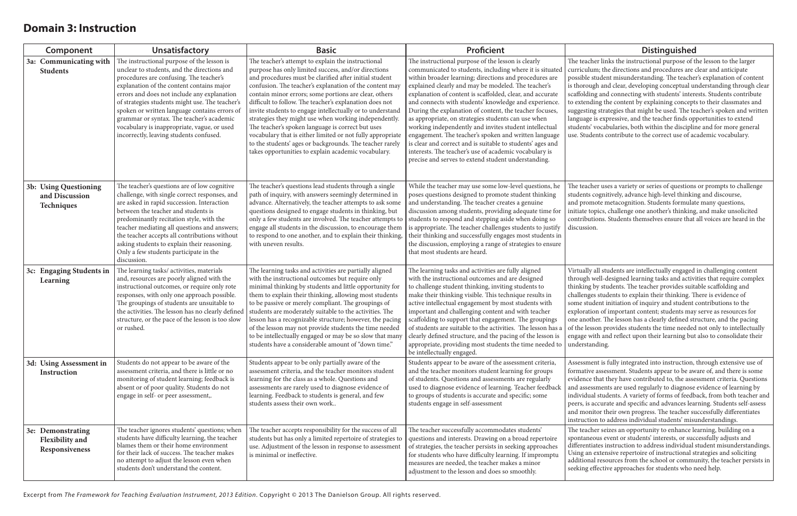acher links the instructional purpose of the lesson to the larger ulum; the directions and procedures are clear and anticipate le student misunderstanding. The teacher's explanation of content ough and clear, developing conceptual understanding through clear ding and connecting with students' interests. Students contribute nding the content by explaining concepts to their classmates and ting strategies that might be used. The teacher's spoken and written ge is expressive, and the teacher finds opportunities to extend ts' vocabularies, both within the discipline and for more general udents contribute to the correct use of academic vocabulary.

Acher uses a variety or series of questions or prompts to challenge ts cognitively, advance high-level thinking and discourse, and promote metacognition. Students formulate many questions, topics, challenge one another's thinking, and make unsolicited putions. Students themselves ensure that all voices are heard in the sion.

Ily all students are intellectually engaged in challenging content th well-designed learning tasks and activities that require complex ng by students. The teacher provides suitable scaffolding and nges students to explain their thinking. There is evidence of student initiation of inquiry and student contributions to the ation of important content; students may serve as resources for other. The lesson has a clearly defined structure, and the pacing lesson provides students the time needed not only to intellectually with and reflect upon their learning but also to consolidate their standing.

ment is fully integrated into instruction, through extensive use of five assessment. Students appear to be aware of, and there is some ce that they have contributed to, the assessment criteria. Questions sessments are used regularly to diagnose evidence of learning by lual students. A variety of forms of feedback, from both teacher and is accurate and specific and advances learning. Students self-assess onitor their own progress. The teacher successfully differentiates ction to address individual students' misunderstandings.

acher seizes an opportunity to enhance learning, building on a neous event or students' interests, or successfully adjusts and ntiates instruction to address individual student misunderstandings. an extensive repertoire of instructional strategies and soliciting and resources from the school or community, the teacher persists in ig effective approaches for students who need help.

#### **Domain 3: Instruction**

| Component                                                     | <b>Unsatisfactory</b>                                                                                                                                                                                                                                                                                                                                                                                                                                                       | <b>Basic</b>                                                                                                                                                                                                                                                                                                                                                                                                                                                                                                                                                                                                                                                                                                   | <b>Proficient</b>                                                                                                                                                                                                                                                                                                                                                                                                                                                                                                                                                                                                                                                                                                                                                         | Distinguished                                                                                                                                                                                                                                                                                                                                                                                                                                                                                                                  |
|---------------------------------------------------------------|-----------------------------------------------------------------------------------------------------------------------------------------------------------------------------------------------------------------------------------------------------------------------------------------------------------------------------------------------------------------------------------------------------------------------------------------------------------------------------|----------------------------------------------------------------------------------------------------------------------------------------------------------------------------------------------------------------------------------------------------------------------------------------------------------------------------------------------------------------------------------------------------------------------------------------------------------------------------------------------------------------------------------------------------------------------------------------------------------------------------------------------------------------------------------------------------------------|---------------------------------------------------------------------------------------------------------------------------------------------------------------------------------------------------------------------------------------------------------------------------------------------------------------------------------------------------------------------------------------------------------------------------------------------------------------------------------------------------------------------------------------------------------------------------------------------------------------------------------------------------------------------------------------------------------------------------------------------------------------------------|--------------------------------------------------------------------------------------------------------------------------------------------------------------------------------------------------------------------------------------------------------------------------------------------------------------------------------------------------------------------------------------------------------------------------------------------------------------------------------------------------------------------------------|
| 3a: Communicating with<br><b>Students</b>                     | The instructional purpose of the lesson is<br>unclear to students, and the directions and<br>procedures are confusing. The teacher's<br>explanation of the content contains major<br>errors and does not include any explanation<br>of strategies students might use. The teacher's<br>spoken or written language contains errors of<br>grammar or syntax. The teacher's academic<br>vocabulary is inappropriate, vague, or used<br>incorrectly, leaving students confused. | The teacher's attempt to explain the instructional<br>purpose has only limited success, and/or directions<br>and procedures must be clarified after initial student<br>confusion. The teacher's explanation of the content may<br>contain minor errors; some portions are clear, others<br>difficult to follow. The teacher's explanation does not<br>invite students to engage intellectually or to understand<br>strategies they might use when working independently.<br>The teacher's spoken language is correct but uses<br>vocabulary that is either limited or not fully appropriate<br>to the students' ages or backgrounds. The teacher rarely<br>takes opportunities to explain academic vocabulary. | The instructional purpose of the lesson is clearly<br>communicated to students, including where it is situated<br>within broader learning; directions and procedures are<br>explained clearly and may be modeled. The teacher's<br>explanation of content is scaffolded, clear, and accurate<br>and connects with students' knowledge and experience.<br>During the explanation of content, the teacher focuses,<br>as appropriate, on strategies students can use when<br>working independently and invites student intellectual<br>engagement. The teacher's spoken and written language<br>is clear and correct and is suitable to students' ages and<br>interests. The teacher's use of academic vocabulary is<br>precise and serves to extend student understanding. | The teacher links the instructional purpose of t<br>curriculum; the directions and procedures are<br>possible student misunderstanding. The teacher<br>is thorough and clear, developing conceptual ur<br>scaffolding and connecting with students' inter-<br>to extending the content by explaining concept<br>suggesting strategies that might be used. The te<br>language is expressive, and the teacher finds op<br>students' vocabularies, both within the disciplir<br>use. Students contribute to the correct use of ac |
| 3b: Using Questioning<br>and Discussion<br><b>Techniques</b>  | The teacher's questions are of low cognitive<br>challenge, with single correct responses, and<br>are asked in rapid succession. Interaction<br>between the teacher and students is<br>predominantly recitation style, with the<br>teacher mediating all questions and answers;<br>the teacher accepts all contributions without<br>asking students to explain their reasoning.<br>Only a few students participate in the<br>discussion.                                     | The teacher's questions lead students through a single<br>path of inquiry, with answers seemingly determined in<br>advance. Alternatively, the teacher attempts to ask some<br>questions designed to engage students in thinking, but<br>only a few students are involved. The teacher attempts to<br>engage all students in the discussion, to encourage them<br>to respond to one another, and to explain their thinking,<br>with uneven results.                                                                                                                                                                                                                                                            | While the teacher may use some low-level questions, he<br>poses questions designed to promote student thinking<br>and understanding. The teacher creates a genuine<br>discussion among students, providing adequate time for<br>students to respond and stepping aside when doing so<br>is appropriate. The teacher challenges students to justify<br>their thinking and successfully engages most students in<br>the discussion, employing a range of strategies to ensure<br>that most students are heard.                                                                                                                                                                                                                                                              | The teacher uses a variety or series of questions<br>students cognitively, advance high-level thinkir<br>and promote metacognition. Students formulat<br>initiate topics, challenge one another's thinking<br>contributions. Students themselves ensure that<br>discussion.                                                                                                                                                                                                                                                    |
| 3c: Engaging Students in<br>Learning                          | The learning tasks/ activities, materials<br>and, resources are poorly aligned with the<br>instructional outcomes, or require only rote<br>responses, with only one approach possible.<br>The groupings of students are unsuitable to<br>the activities. The lesson has no clearly defined<br>structure, or the pace of the lesson is too slow<br>or rushed.                                                                                                                | The learning tasks and activities are partially aligned<br>with the instructional outcomes but require only<br>minimal thinking by students and little opportunity for<br>them to explain their thinking, allowing most students<br>to be passive or merely compliant. The groupings of<br>students are moderately suitable to the activities. The<br>lesson has a recognizable structure; however, the pacing<br>of the lesson may not provide students the time needed<br>to be intellectually engaged or may be so slow that many<br>students have a considerable amount of "down time."                                                                                                                    | The learning tasks and activities are fully aligned<br>with the instructional outcomes and are designed<br>to challenge student thinking, inviting students to<br>make their thinking visible. This technique results in<br>active intellectual engagement by most students with<br>important and challenging content and with teacher<br>scaffolding to support that engagement. The groupings<br>of students are suitable to the activities. The lesson has a<br>clearly defined structure, and the pacing of the lesson is<br>appropriate, providing most students the time needed to<br>be intellectually engaged.                                                                                                                                                    | Virtually all students are intellectually engaged<br>through well-designed learning tasks and activi<br>thinking by students. The teacher provides suita<br>challenges students to explain their thinking. T<br>some student initiation of inquiry and student<br>exploration of important content; students may<br>one another. The lesson has a clearly defined sti<br>of the lesson provides students the time needed<br>engage with and reflect upon their learning but<br>understanding.                                  |
| 3d: Using Assessment in<br>Instruction                        | Students do not appear to be aware of the<br>assessment criteria, and there is little or no<br>monitoring of student learning; feedback is<br>absent or of poor quality. Students do not<br>engage in self- or peer assessment,.                                                                                                                                                                                                                                            | Students appear to be only partially aware of the<br>assessment criteria, and the teacher monitors student<br>learning for the class as a whole. Questions and<br>assessments are rarely used to diagnose evidence of<br>learning. Feedback to students is general, and few<br>students assess their own work                                                                                                                                                                                                                                                                                                                                                                                                  | Students appear to be aware of the assessment criteria,<br>and the teacher monitors student learning for groups<br>of students. Questions and assessments are regularly<br>used to diagnose evidence of learning. Teacher feedback<br>to groups of students is accurate and specific; some<br>students engage in self-assessment                                                                                                                                                                                                                                                                                                                                                                                                                                          | Assessment is fully integrated into instruction,<br>formative assessment. Students appear to be aw<br>evidence that they have contributed to, the asse<br>and assessments are used regularly to diagnose<br>individual students. A variety of forms of feedb<br>peers, is accurate and specific and advances lear<br>and monitor their own progress. The teacher su<br>instruction to address individual students' misu                                                                                                        |
| 3e: Demonstrating<br><b>Flexibility and</b><br>Responsiveness | The teacher ignores students' questions; when<br>students have difficulty learning, the teacher<br>blames them or their home environment<br>for their lack of success. The teacher makes<br>no attempt to adjust the lesson even when<br>students don't understand the content.                                                                                                                                                                                             | The teacher accepts responsibility for the success of all<br>students but has only a limited repertoire of strategies to<br>use. Adjustment of the lesson in response to assessment<br>is minimal or ineffective.                                                                                                                                                                                                                                                                                                                                                                                                                                                                                              | The teacher successfully accommodates students'<br>questions and interests. Drawing on a broad repertoire<br>of strategies, the teacher persists in seeking approaches<br>for students who have difficulty learning. If impromptu<br>measures are needed, the teacher makes a minor<br>adjustment to the lesson and does so smoothly.                                                                                                                                                                                                                                                                                                                                                                                                                                     | The teacher seizes an opportunity to enhance le<br>spontaneous event or students' interests, or suc<br>differentiates instruction to address individual<br>Using an extensive repertoire of instructional st<br>additional resources from the school or commu<br>seeking effective approaches for students who r                                                                                                                                                                                                               |